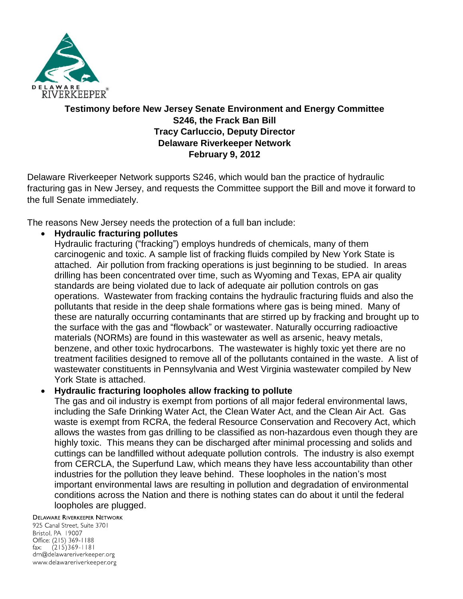

# **Testimony before New Jersey Senate Environment and Energy Committee S246, the Frack Ban Bill Tracy Carluccio, Deputy Director Delaware Riverkeeper Network February 9, 2012**

Delaware Riverkeeper Network supports S246, which would ban the practice of hydraulic fracturing gas in New Jersey, and requests the Committee support the Bill and move it forward to the full Senate immediately.

The reasons New Jersey needs the protection of a full ban include:

**Hydraulic fracturing pollutes**

Hydraulic fracturing ("fracking") employs hundreds of chemicals, many of them carcinogenic and toxic. A sample list of fracking fluids compiled by New York State is attached. Air pollution from fracking operations is just beginning to be studied. In areas drilling has been concentrated over time, such as Wyoming and Texas, EPA air quality standards are being violated due to lack of adequate air pollution controls on gas operations. Wastewater from fracking contains the hydraulic fracturing fluids and also the pollutants that reside in the deep shale formations where gas is being mined. Many of these are naturally occurring contaminants that are stirred up by fracking and brought up to the surface with the gas and "flowback" or wastewater. Naturally occurring radioactive materials (NORMs) are found in this wastewater as well as arsenic, heavy metals, benzene, and other toxic hydrocarbons. The wastewater is highly toxic yet there are no treatment facilities designed to remove all of the pollutants contained in the waste. A list of wastewater constituents in Pennsylvania and West Virginia wastewater compiled by New York State is attached.

## **Hydraulic fracturing loopholes allow fracking to pollute**

The gas and oil industry is exempt from portions of all major federal environmental laws, including the Safe Drinking Water Act, the Clean Water Act, and the Clean Air Act. Gas waste is exempt from RCRA, the federal Resource Conservation and Recovery Act, which allows the wastes from gas drilling to be classified as non-hazardous even though they are highly toxic. This means they can be discharged after minimal processing and solids and cuttings can be landfilled without adequate pollution controls. The industry is also exempt from CERCLA, the Superfund Law, which means they have less accountability than other industries for the pollution they leave behind. These loopholes in the nation's most important environmental laws are resulting in pollution and degradation of environmental conditions across the Nation and there is nothing states can do about it until the federal loopholes are plugged.

**DELAWARE RIVERKEEPER NETWORK** 

925 Canal Street, Suite 3701 Bristol, PA 19007 Office: (215) 369-1188 fax:  $(215)369 - 1181$ drn@delawareriverkeeper.org www.delawareriverkeeper.org